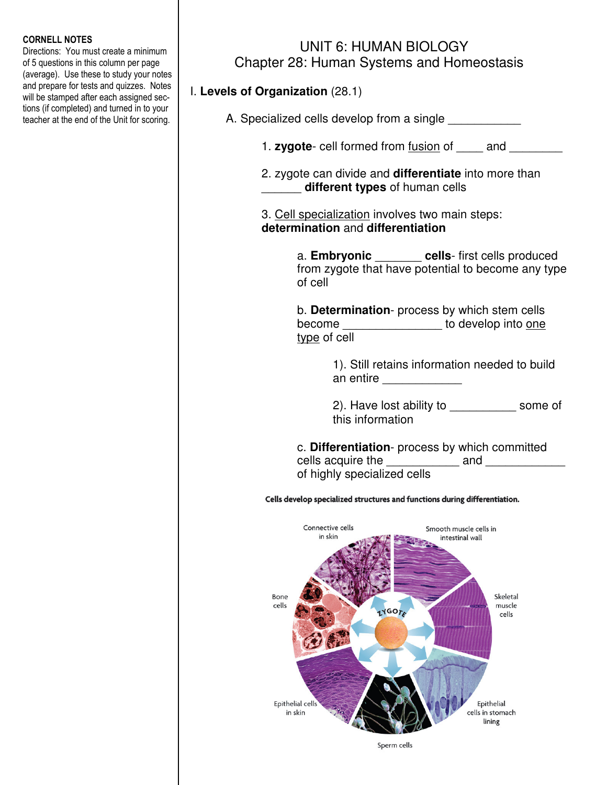#### CORNELL NOTES

Directions: You must create a minimum of 5 questions in this column per page (average). Use these to study your notes and prepare for tests and quizzes. Notes will be stamped after each assigned sections (if completed) and turned in to your teacher at the end of the Unit for scoring.

# UNIT 6: HUMAN BIOLOGY Chapter 28: Human Systems and Homeostasis

## I. **Levels of Organization** (28.1)

|               | A. Specialized cells develop from a single _____________                                                                                                               |
|---------------|------------------------------------------------------------------------------------------------------------------------------------------------------------------------|
|               | 1. zygote- cell formed from fusion of ______ and _________                                                                                                             |
|               | 2. zygote can divide and <b>differentiate</b> into more than<br>different types of human cells                                                                         |
|               | 3. Cell specialization involves two main steps:<br>determination and differentiation                                                                                   |
|               | a. Embryonic _______ cells-first cells produced<br>from zygote that have potential to become any type<br>of cell                                                       |
|               | b. Determination- process by which stem cells<br>become ___________________ to develop into one<br>type of cell                                                        |
|               | 1). Still retains information needed to build<br>an entire ______________                                                                                              |
|               | 2). Have lost ability to _______________ some of<br>this information                                                                                                   |
|               | c. Differentiation- process by which committed<br>cells acquire the ______________ and _____________<br>of highly specialized cells                                    |
|               | Cells develop specialized structures and functions during differentiation.                                                                                             |
| Bone<br>cells | Connective cells<br>Smooth muscle cells in<br>in skin<br>intestinal wall<br>WE ARE THE STATE OF THE PARTY OF THE TABLE<br>Skeletal<br>muscle<br><b>IYGOTA</b><br>cells |
|               | Epithelial cells<br>Epithelial<br>in skin<br>cells in stomach<br>lining                                                                                                |
|               | Sperm cells                                                                                                                                                            |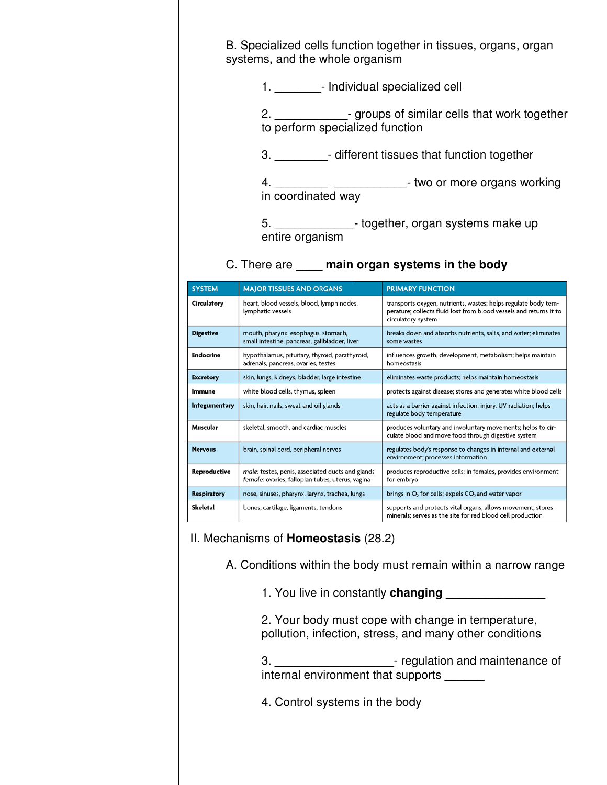| B. Specialized cells function together in tissues, organs, organ<br>systems, and the whole organism |
|-----------------------------------------------------------------------------------------------------|
| 1. • Individual specialized cell                                                                    |
| 2. _________________- groups of similar cells that work together<br>to perform specialized function |
| 3. <b>different tissues that function together</b>                                                  |
| 4. ________________________________- two or more organs working<br>in coordinated way               |
| 5. ________________- together, organ systems make up<br>entire organism                             |

## C. There are \_\_\_\_ **main organ systems in the body**

| <b>SYSTEM</b>    | <b>MAJOR TISSUES AND ORGANS</b>                                                                                                                                    | <b>PRIMARY FUNCTION</b>                                                                                                                                    |
|------------------|--------------------------------------------------------------------------------------------------------------------------------------------------------------------|------------------------------------------------------------------------------------------------------------------------------------------------------------|
| Circulatory      | heart, blood vessels, blood, lymph nodes,<br>lymphatic vessels                                                                                                     | transports oxygen, nutrients, wastes; helps regulate body tem-<br>perature; collects fluid lost from blood vessels and returns it to<br>circulatory system |
| <b>Digestive</b> | mouth, pharynx, esophagus, stomach,<br>small intestine, pancreas, gallbladder, liver                                                                               | breaks down and absorbs nutrients, salts, and water; eliminates<br>some wastes                                                                             |
| Endocrine        | hypothalamus, pituitary, thyroid, parathyroid,<br>influences growth, development, metabolism; helps maintain<br>adrenals, pancreas, ovaries, testes<br>homeostasis |                                                                                                                                                            |
| <b>Excretory</b> | skin, lungs, kidneys, bladder, large intestine<br>eliminates waste products; helps maintain homeostasis                                                            |                                                                                                                                                            |
| Immune           | white blood cells, thymus, spleen                                                                                                                                  | protects against disease; stores and generates white blood cells                                                                                           |
| Integumentary    | skin, hair, nails, sweat and oil glands                                                                                                                            | acts as a barrier against infection, injury, UV radiation; helps<br>regulate body temperature                                                              |
| Muscular         | skeletal, smooth, and cardiac muscles                                                                                                                              | produces voluntary and involuntary movements; helps to cir-<br>culate blood and move food through digestive system                                         |
| <b>Nervous</b>   | brain, spinal cord, peripheral nerves                                                                                                                              | regulates body's response to changes in internal and external<br>environment; processes information                                                        |
| Reproductive     | male: testes, penis, associated ducts and glands<br>female: ovaries, fallopian tubes, uterus, vagina                                                               | produces reproductive cells; in females, provides environment<br>for embryo                                                                                |
| Respiratory      | nose, sinuses, pharynx, larynx, trachea, lungs                                                                                                                     | brings in $O_2$ for cells; expels $CO_2$ and water vapor                                                                                                   |
| Skeletal         | bones, cartilage, ligaments, tendons                                                                                                                               | supports and protects vital organs; allows movement; stores<br>minerals; serves as the site for red blood cell production                                  |

### II. Mechanisms of **Homeostasis** (28.2)

A. Conditions within the body must remain within a narrow range

1. You live in constantly **changing** \_\_\_\_\_\_\_\_\_\_\_\_\_\_\_

 2. Your body must cope with change in temperature, pollution, infection, stress, and many other conditions

 3. \_\_\_\_\_\_\_\_\_\_\_\_\_\_\_\_\_\_- regulation and maintenance of internal environment that supports \_\_\_\_\_\_

4. Control systems in the body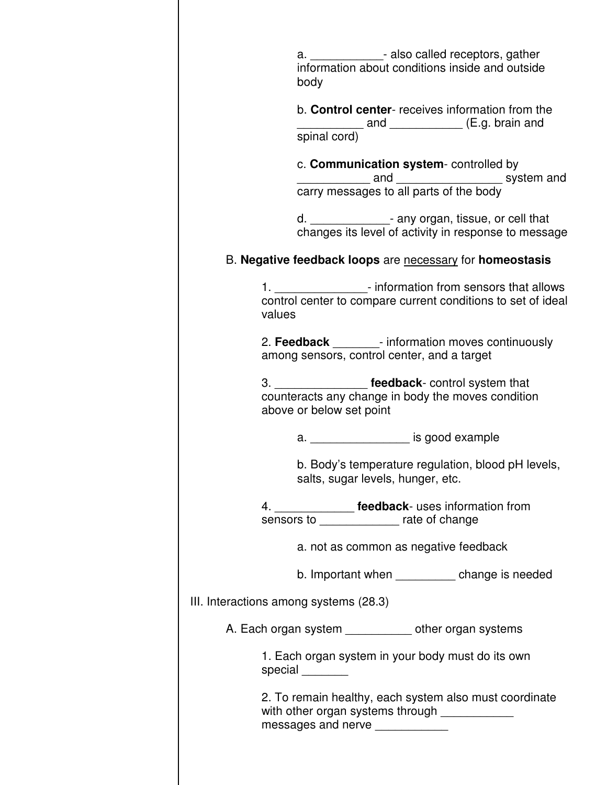|        | a. _______________- also called receptors, gather<br>information about conditions inside and outside<br>body                                 |
|--------|----------------------------------------------------------------------------------------------------------------------------------------------|
|        | b. Control center- receives information from the<br>submatrice in the term and spinal cord) and CDM (E.g. brain and                          |
|        | c. Communication system-controlled by<br>carry messages to all parts of the body<br>carry messages to all parts of the body                  |
|        | d. ________________- any organ, tissue, or cell that<br>changes its level of activity in response to message                                 |
|        | B. Negative feedback loops are necessary for homeostasis                                                                                     |
| values | 1. ___________________- information from sensors that allows<br>control center to compare current conditions to set of ideal                 |
|        | 2. Feedback _________- information moves continuously<br>among sensors, control center, and a target                                         |
|        | 3. _________________ feedback- control system that<br>counteracts any change in body the moves condition<br>above or below set point         |
|        | a. ____________________ is good example                                                                                                      |
|        | b. Body's temperature regulation, blood pH levels,<br>salts, sugar levels, hunger, etc.                                                      |
|        | 4. ________________ feedback- uses information from<br>sensors to _______________ rate of change                                             |
|        | a. not as common as negative feedback                                                                                                        |
|        | b. Important when ____________ change is needed                                                                                              |
|        | III. Interactions among systems (28.3)                                                                                                       |
|        | A. Each organ system ____________ other organ systems                                                                                        |
|        | 1. Each organ system in your body must do its own<br>special _______                                                                         |
|        | 2. To remain healthy, each system also must coordinate<br>with other organ systems through _____________<br>messages and nerve _____________ |
|        |                                                                                                                                              |